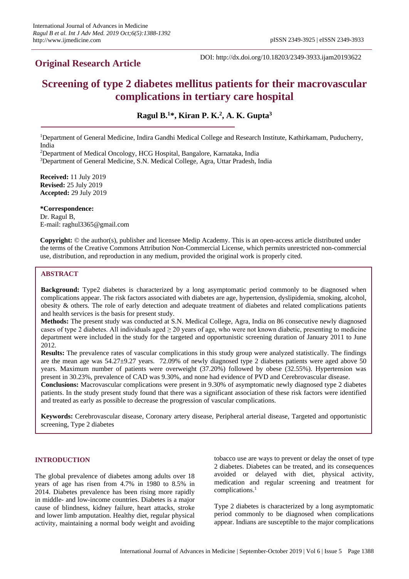# **Original Research Article**

DOI: http://dx.doi.org/10.18203/2349-3933.ijam20193622

# **Screening of type 2 diabetes mellitus patients for their macrovascular complications in tertiary care hospital**

**Ragul B. <sup>1</sup>\*, Kiran P. K. 2 , A. K. Gupta<sup>3</sup>**

<sup>1</sup>Department of General Medicine, Indira Gandhi Medical College and Research Institute, Kathirkamam, Puducherry, India

<sup>2</sup>Department of Medical Oncology, HCG Hospital, Bangalore, Karnataka, India

<sup>3</sup>Department of General Medicine, S.N. Medical College, Agra, Uttar Pradesh, India

**Received:** 11 July 2019 **Revised:** 25 July 2019 **Accepted:** 29 July 2019

**\*Correspondence:** Dr. Ragul B, E-mail: raghul3365@gmail.com

**Copyright:** © the author(s), publisher and licensee Medip Academy. This is an open-access article distributed under the terms of the Creative Commons Attribution Non-Commercial License, which permits unrestricted non-commercial use, distribution, and reproduction in any medium, provided the original work is properly cited.

# **ABSTRACT**

**Background:** Type2 diabetes is characterized by a long asymptomatic period commonly to be diagnosed when complications appear. The risk factors associated with diabetes are age, hypertension, dyslipidemia, smoking, alcohol, obesity & others. The role of early detection and adequate treatment of diabetes and related complications patients and health services is the basis for present study.

**Methods:** The present study was conducted at S.N. Medical College, Agra, India on 86 consecutive newly diagnosed cases of type 2 diabetes. All individuals aged  $\geq$  20 years of age, who were not known diabetic, presenting to medicine department were included in the study for the targeted and opportunistic screening duration of January 2011 to June 2012.

**Results:** The prevalence rates of vascular complications in this study group were analyzed statistically. The findings are the mean age was 54.27±9.27 years. 72.09% of newly diagnosed type 2 diabetes patients were aged above 50 years. Maximum number of patients were overweight (37.20%) followed by obese (32.55%). Hypertension was present in 30.23%, prevalence of CAD was 9.30%, and none had evidence of PVD and Cerebrovascular disease.

**Conclusions:** Macrovascular complications were present in 9.30% of asymptomatic newly diagnosed type 2 diabetes patients. In the study present study found that there was a significant association of these risk factors were identified and treated as early as possible to decrease the progression of vascular complications.

**Keywords:** Cerebrovascular disease, Coronary artery disease, Peripheral arterial disease, Targeted and opportunistic screening, Type 2 diabetes

#### **INTRODUCTION**

The global prevalence of diabetes among adults over 18 years of age has risen from 4.7% in 1980 to 8.5% in 2014. Diabetes prevalence has been rising more rapidly in middle- and low-income countries. Diabetes is a major cause of blindness, kidney failure, heart attacks, stroke and lower limb amputation. Healthy diet, regular physical activity, maintaining a normal body weight and avoiding tobacco use are ways to prevent or delay the onset of type 2 diabetes. Diabetes can be treated, and its consequences avoided or delayed with diet, physical activity, medication and regular screening and treatment for complications.<sup>1</sup>

Type 2 diabetes is characterized by a long asymptomatic period commonly to be diagnosed when complications appear. Indians are susceptible to the major complications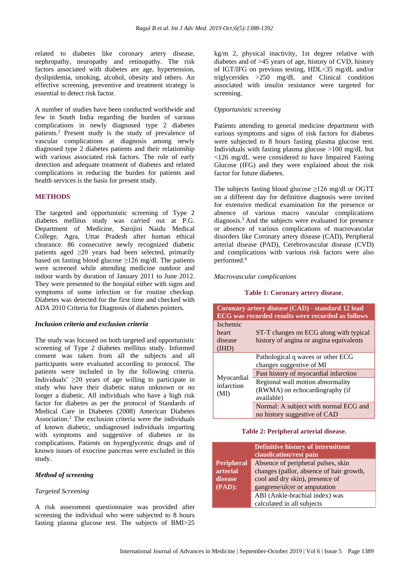related to diabetes like coronary artery disease, nephropathy, neuropathy and retinopathy. The risk factors associated with diabetes are age, hypertension, dyslipidemia, smoking, alcohol, obesity and others. An effective screening, preventive and treatment strategy is essential to detect risk factor.

A number of studies have been conducted worldwide and few in South India regarding the burden of various complications in newly diagnosed type 2 diabetes patients. <sup>2</sup> Present study is the study of prevalence of vascular complications at diagnosis among newly diagnosed type 2 diabetes patients and their relationship with various associated risk factors. The role of early detection and adequate treatment of diabetes and related complications in reducing the burden for patients and health services is the basis for present study.

#### **METHODS**

The targeted and opportunistic screening of Type 2 diabetes mellitus study was carried out at P.G. Department of Medicine, Sarojini Naidu Medical College, Agra, Uttar Pradesh after human ethical clearance. 86 consecutive newly recognized diabetic patients aged  $\geq 20$  years had been selected, primarily based on fasting blood glucose ≥126 mg/dl. The patients were screened while attending medicine outdoor and indoor wards by duration of January 2011 to June 2012. They were presented to the hospital either with signs and symptoms of some infection or for routine checkup. Diabetes was detected for the first time and checked with ADA 2010 Criteria for Diagnosis of diabetes pointers.

#### *Inclusion criteria and exclusion criteria*

The study was focused on both targeted and opportunistic screening of Type 2 diabetes mellitus study. Informed consent was taken from all the subjects and all participants were evaluated according to protocol. The patients were included in by the following criteria. Individuals'  $\geq$ 20 years of age willing to participate in study who have their diabetic status unknown or no longer a diabetic. All individuals who have a high risk factor for diabetes as per the protocol of Standards of Medical Care in Diabetes (2008) American Diabetes Association. <sup>2</sup> The exclusion criteria were the individuals of known diabetic, undiagnosed individuals imparting with symptoms and suggestive of diabetes or its complications. Patients on hyperglycemic drugs and of known issues of exocrine pancreas were excluded in this study.

#### *Method of screening*

#### *Targeted Screening*

A risk assessment questionnaire was provided after screening the individual who were subjected to 8 hours fasting plasma glucose test. The subjects of BMI>25 kg/m 2, physical inactivity, 1st degree relative with diabetes and of >45 years of age, history of CVD, history of IGT/IFG on previous testing, HDL<35 mg/dL and/or triglycerides >250 mg/dL and Clinical condition associated with insulin resistance were targeted for screening.

# *Opportunistic screening*

Patients attending to general medicine department with various symptoms and signs of risk factors for diabetes were subjected to 8 hours fasting plasma glucose test. Individuals with fasting plasma glucose >100 mg/dL but <126 mg/dL were considered to have Impaired Fasting Glucose (IFG) and they were explained about the risk factor for future diabetes.

The subjects fasting blood glucose ≥126 mg/dl or OGTT on a different day for definitive diagnosis were invited for extensive medical examination for the presence or absence of various macro vascular complications diagnosis.<sup>3</sup> And the subjects were evaluated for presence or absence of various complications of macrovascular disorders like Coronary artery disease (CAD), Peripheral arterial disease (PAD), Cerebrovascular disease (CVD) and complications with various risk factors were also performed. 4

#### *Macrovascular complications*

#### **Table 1: Coronary artery disease.**

| Coronary artery disease (CAD) - standard 12 lead<br><b>ECG</b> was recorded results were recorded as follows |                                                                                                        |  |  |
|--------------------------------------------------------------------------------------------------------------|--------------------------------------------------------------------------------------------------------|--|--|
| <i><u><b>Ischemic</b></u></i><br>heart<br>disease<br>(IHD)                                                   | ST-T changes on ECG along with typical<br>history of angina or angina equivalents                      |  |  |
| Myocardial<br>infarction<br>(MI)                                                                             | Pathological q waves or other ECG<br>changes suggestive of MI<br>Past history of myocardial infarction |  |  |
|                                                                                                              | Regional wall motion abnormality<br>(RWMA) on echocardiography (if<br>available)                       |  |  |
|                                                                                                              | Normal: A subject with normal ECG and<br>no history suggestive of CAD                                  |  |  |

#### **Table 2: Peripheral arterial disease.**

|                   | Definitive history of intermittent<br>claudication/rest pain |  |  |
|-------------------|--------------------------------------------------------------|--|--|
| <b>Peripheral</b> | Absence of peripheral pulses, skin                           |  |  |
| arterial          | changes (pallor, absence of hair growth,                     |  |  |
| disease           | cool and dry skin), presence of                              |  |  |
| $(PAD)$ :         | gangrene/ulcer or amputation                                 |  |  |
|                   | ABI (Ankle-brachial index) was                               |  |  |
|                   | calculated in all subjects                                   |  |  |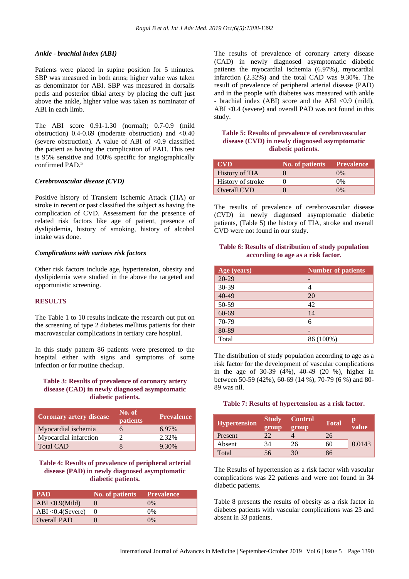#### *Ankle - brachial index (ABI)*

Patients were placed in supine position for 5 minutes. SBP was measured in both arms; higher value was taken as denominator for ABI. SBP was measured in dorsalis pedis and posterior tibial artery by placing the cuff just above the ankle, higher value was taken as nominator of ABI in each limb.

The ABI score 0.91-1.30 (normal); 0.7-0.9 (mild obstruction)  $0.4$ -0.69 (moderate obstruction) and  $\langle 0.40 \rangle$ (severe obstruction). A value of ABI of  $\langle 0.9 \rangle$  classified the patient as having the complication of PAD. This test is 95% sensitive and 100% specific for angiographically confirmed PAD.<sup>5</sup>

#### *Cerebrovascular disease (CVD)*

Positive history of Transient Ischemic Attack (TIA) or stroke in recent or past classified the subject as having the complication of CVD. Assessment for the presence of related risk factors like age of patient, presence of dyslipidemia, history of smoking, history of alcohol intake was done.

#### *Complications with various risk factors*

Other risk factors include age, hypertension, obesity and dyslipidemia were studied in the above the targeted and opportunistic screening.

#### **RESULTS**

The Table 1 to 10 results indicate the research out put on the screening of type 2 diabetes mellitus patients for their macrovascular complications in tertiary care hospital.

In this study pattern 86 patients were presented to the hospital either with signs and symptoms of some infection or for routine checkup.

# **Table 3: Results of prevalence of coronary artery disease (CAD) in newly diagnosed asymptomatic diabetic patients.**

| <b>Coronary artery disease</b> | No. of<br>patients | <b>Prevalence</b> |
|--------------------------------|--------------------|-------------------|
| Myocardial ischemia            | h                  | 6.97%             |
| Myocardial infarction          |                    | 2.32%             |
| <b>Total CAD</b>               |                    | 9.30%             |

# **Table 4: Results of prevalence of peripheral arterial disease (PAD) in newly diagnosed asymptomatic diabetic patients.**

| <b>PAD</b>           | No. of patients | <b>Prevalence</b> |
|----------------------|-----------------|-------------------|
| ABI < $0.9$ (Mild)   |                 | $0\%$             |
| ABI < $0.4$ (Severe) |                 | $0\%$             |
| Overall PAD          |                 | $0\%$             |

The results of prevalence of coronary artery disease (CAD) in newly diagnosed asymptomatic diabetic patients the myocardial ischemia (6.97%), myocardial infarction (2.32%) and the total CAD was 9.30%. The result of prevalence of peripheral arterial disease (PAD) and in the people with diabetes was measured with ankle - brachial index (ABI) score and the ABI <0.9 (mild), ABI <0.4 (severe) and overall PAD was not found in this study.

# **Table 5: Results of prevalence of cerebrovascular disease (CVD) in newly diagnosed asymptomatic diabetic patients.**

| <b>CVD</b>            | No. of patients' | <b>Prevalence</b> |
|-----------------------|------------------|-------------------|
| <b>History of TIA</b> |                  | $0\%$             |
| History of stroke     |                  | $0\%$             |
| Overall CVD           |                  | $0\%$             |

The results of prevalence of cerebrovascular disease (CVD) in newly diagnosed asymptomatic diabetic patients, (Table 5) the history of TIA, stroke and overall CVD were not found in our study.

# **Table 6: Results of distribution of study population according to age as a risk factor.**

| Age (years) | <b>Number of patients</b> |
|-------------|---------------------------|
| $20 - 29$   | -                         |
| 30-39       |                           |
| 40-49       | 20                        |
| 50-59       | 42                        |
| 60-69       | 14                        |
| 70-79       | 6                         |
| 80-89       |                           |
| Total       | 86 (100%)                 |

The distribution of study population according to age as a risk factor for the development of vascular complications in the age of 30-39 (4%), 40-49 (20 %), higher in between 50-59 (42%), 60-69 (14 %), 70-79 (6 %) and 80- 89 was nil.

#### **Table 7: Results of hypertension as a risk factor.**

| <b>Hypertension</b> | <b>Study</b><br>group | <b>Control</b><br>group | <b>Total</b> | value  |
|---------------------|-----------------------|-------------------------|--------------|--------|
| Present             | 22                    |                         | 26           |        |
| Absent              | 34                    | 26                      | 60           | 0.0143 |
| Total               | 56                    | 30                      | 86           |        |

The Results of hypertension as a risk factor with vascular complications was 22 patients and were not found in 34 diabetic patients.

Table 8 presents the results of obesity as a risk factor in diabetes patients with vascular complications was 23 and absent in 33 patients.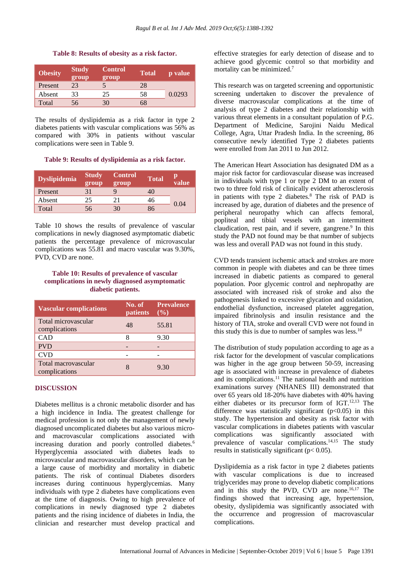#### **Table 8: Results of obesity as a risk factor.**

| <b>Obesity</b> | <b>Study</b><br>group | <b>Control</b><br>group | <b>Total</b> | p value |
|----------------|-----------------------|-------------------------|--------------|---------|
| Present        | 23                    | 5                       | 28           |         |
| Absent         | 33                    | 25                      | 58           | 0.0293  |
| Total          | 56                    | 30                      | 68           |         |

The results of dyslipidemia as a risk factor in type 2 diabetes patients with vascular complications was 56% as compared with 30% in patients without vascular complications were seen in Table 9.

#### **Table 9: Results of dyslipidemia as a risk factor.**

| <b>Dyslipidemia</b> | <b>Study</b><br>group | <b>Control</b><br>group | <b>Total</b> | value |
|---------------------|-----------------------|-------------------------|--------------|-------|
| Present             | 31                    |                         | 40           |       |
| Absent              | 25                    | 21                      | 46           | 0.04  |
| Total               | 56                    | 30                      | 86           |       |

Table 10 shows the results of prevalence of vascular complications in newly diagnosed asymptomatic diabetic patients the percentage prevalence of microvascular complications was 55.81 and macro vascular was 9.30%, PVD, CVD are none.

# **Table 10: Results of prevalence of vascular complications in newly diagnosed asymptomatic diabetic patients.**

| <b>Vascular complications</b>        | No. of<br>patients | <b>Prevalence</b><br>$($ %) |
|--------------------------------------|--------------------|-----------------------------|
| Total microvascular<br>complications | 48                 | 55.81                       |
| CAD                                  |                    | 9.30                        |
| <b>PVD</b>                           |                    |                             |
| <b>CVD</b>                           |                    |                             |
| Total macrovascular<br>complications |                    | 9.30                        |

# **DISCUSSION**

Diabetes mellitus is a chronic metabolic disorder and has a high incidence in India. The greatest challenge for medical profession is not only the management of newly diagnosed uncomplicated diabetes but also various microand macrovascular complications associated with increasing duration and poorly controlled diabetes.<sup>6</sup> Hyperglycemia associated with diabetes leads to microvascular and macrovascular disorders, which can be a large cause of morbidity and mortality in diabetic patients. The risk of continual Diabetes disorders increases during continuous hyperglycemias. Many individuals with type 2 diabetes have complications even at the time of diagnosis. Owing to high prevalence of complications in newly diagnosed type 2 diabetes patients and the rising incidence of diabetes in India, the clinician and researcher must develop practical and effective strategies for early detection of disease and to achieve good glycemic control so that morbidity and mortality can be minimized.<sup>7</sup>

This research was on targeted screening and opportunistic screening undertaken to discover the prevalence of diverse macrovascular complications at the time of analysis of type 2 diabetes and their relationship with various threat elements in a consultant population of P.G. Department of Medicine, Sarojini Naidu Medical College, Agra, Uttar Pradesh India. In the screening, 86 consecutive newly identified Type 2 diabetes patients were enrolled from Jan 2011 to Jun 2012.

The American Heart Association has designated DM as a major risk factor for cardiovascular disease was increased in individuals with type 1 or type 2 DM to an extent of two to three fold risk of clinically evident atherosclerosis in patients with type 2 diabetes. <sup>8</sup> The risk of PAD is increased by age, duration of diabetes and the presence of peripheral neuropathy which can affects femoral, popliteal and tibial vessels with an intermittent claudication, rest pain, and if severe, gangrene.<sup>9</sup> In this study the PAD not found may be that number of subjects was less and overall PAD was not found in this study.

CVD tends transient ischemic attack and strokes are more common in people with diabetes and can be three times increased in diabetic patients as compared to general population. Poor glycemic control and nephropathy are associated with increased risk of stroke and also the pathogenesis linked to excessive glycation and oxidation, endothelial dysfunction, increased platelet aggregation, impaired fibrinolysis and insulin resistance and the history of TIA, stroke and overall CVD were not found in this study this is due to number of samples was less.<sup>10</sup>

The distribution of study population according to age as a risk factor for the development of vascular complications was higher in the age group between 50-59, increasing age is associated with increase in prevalence of diabetes and its complications. <sup>11</sup> The national health and nutrition examinations survey (NHANES III) demonstrated that over 65 years old 18-20% have diabetes with 40% having either diabetes or its precursor form of IGT. 12,13 The difference was statistically significant  $(p<0.05)$  in this study. The hypertension and obesity as risk factor with vascular complications in diabetes patients with vascular complications was significantly associated with prevalence of vascular complications.<sup>14,15</sup> The study results in statistically significant (p< 0.05).

Dyslipidemia as a risk factor in type 2 diabetes patients with vascular complications is due to increased triglycerides may prone to develop diabetic complications and in this study the PVD, CVD are none.<sup>16,17</sup> The findings showed that increasing age, hypertension, obesity, dyslipidemia was significantly associated with the occurrence and progression of macrovascular complications.